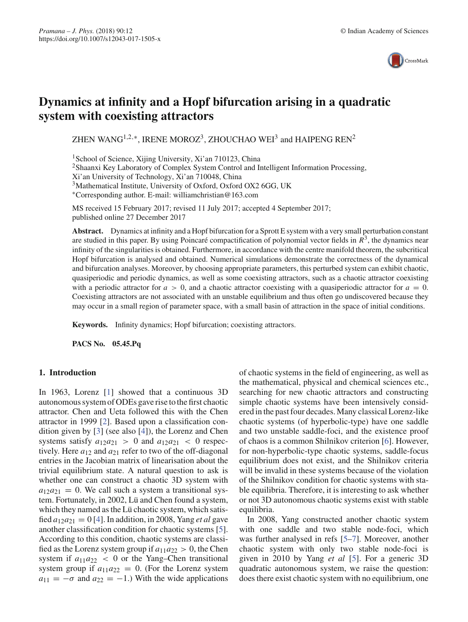

# **Dynamics at infinity and a Hopf bifurcation arising in a quadratic system with coexisting attractors**

ZHEN WANG<sup>1,2,∗</sup>, IRENE MOROZ<sup>3</sup>, ZHOUCHAO WEI<sup>3</sup> and HAIPENG REN<sup>2</sup>

<sup>1</sup>School of Science, Xijing University, Xi'an 710123, China <sup>2</sup>Shaanxi Key Laboratory of Complex System Control and Intelligent Information Processing, Xi'an University of Technology, Xi'an 710048, China <sup>3</sup>Mathematical Institute, University of Oxford, Oxford OX2 6GG, UK ∗Corresponding author. E-mail: williamchristian@163.com

MS received 15 February 2017; revised 11 July 2017; accepted 4 September 2017; published online 27 December 2017

**Abstract.** Dynamics at infinity and a Hopf bifurcation for a Sprott E system with a very small perturbation constant are studied in this paper. By using Poincaré compactification of polynomial vector fields in  $R<sup>3</sup>$ , the dynamics near infinity of the singularities is obtained. Furthermore, in accordance with the centre manifold theorem, the subcritical Hopf bifurcation is analysed and obtained. Numerical simulations demonstrate the correctness of the dynamical and bifurcation analyses. Moreover, by choosing appropriate parameters, this perturbed system can exhibit chaotic, quasiperiodic and periodic dynamics, as well as some coexisting attractors, such as a chaotic attractor coexisting with a periodic attractor for  $a > 0$ , and a chaotic attractor coexisting with a quasiperiodic attractor for  $a = 0$ . Coexisting attractors are not associated with an unstable equilibrium and thus often go undiscovered because they may occur in a small region of parameter space, with a small basin of attraction in the space of initial conditions.

**Keywords.** Infinity dynamics; Hopf bifurcation; coexisting attractors.

**PACS No. 05.45.Pq**

# **1. Introduction**

In 1963, Lorenz [1] showed that a continuous 3D autonomous system of ODEs gave rise to the first chaotic attractor. Chen and Ueta followed this with the Chen attractor in 1999 [2]. Based upon a classification condition given by [3] (see also [4]), the Lorenz and Chen systems satisfy  $a_{12}a_{21} > 0$  and  $a_{12}a_{21} < 0$  respectively. Here  $a_{12}$  and  $a_{21}$  refer to two of the off-diagonal entries in the Jacobian matrix of linearisation about the trivial equilibrium state. A natural question to ask is whether one can construct a chaotic 3D system with  $a_{12}a_{21} = 0$ . We call such a system a transitional system. Fortunately, in 2002, Lü and Chen found a system, which they named as the Lü chaotic system, which satisfied  $a_{12}a_{21} = 0$  [4]. In addition, in 2008, Yang *et al* gave another classification condition for chaotic systems [5]. According to this condition, chaotic systems are classified as the Lorenz system group if  $a_{11}a_{22} > 0$ , the Chen system if  $a_{11}a_{22}$  < 0 or the Yang–Chen transitional system group if  $a_{11}a_{22} = 0$ . (For the Lorenz system  $a_{11} = -\sigma$  and  $a_{22} = -1$ .) With the wide applications of chaotic systems in the field of engineering, as well as the mathematical, physical and chemical sciences etc., searching for new chaotic attractors and constructing simple chaotic systems have been intensively considered in the past four decades. Many classical Lorenz-like chaotic systems (of hyperbolic-type) have one saddle and two unstable saddle-foci, and the existence proof of chaos is a common Shilnikov criterion [6]. However, for non-hyperbolic-type chaotic systems, saddle-focus equilibrium does not exist, and the Shilnikov criteria will be invalid in these systems because of the violation of the Shilnikov condition for chaotic systems with stable equilibria. Therefore, it is interesting to ask whether or not 3D autonomous chaotic systems exist with stable equilibria.

In 2008, Yang constructed another chaotic system with one saddle and two stable node-foci, which was further analysed in refs [5–7]. Moreover, another chaotic system with only two stable node-foci is given in 2010 by Yang *et al* [5]. For a generic 3D quadratic autonomous system, we raise the question: does there exist chaotic system with no equilibrium, one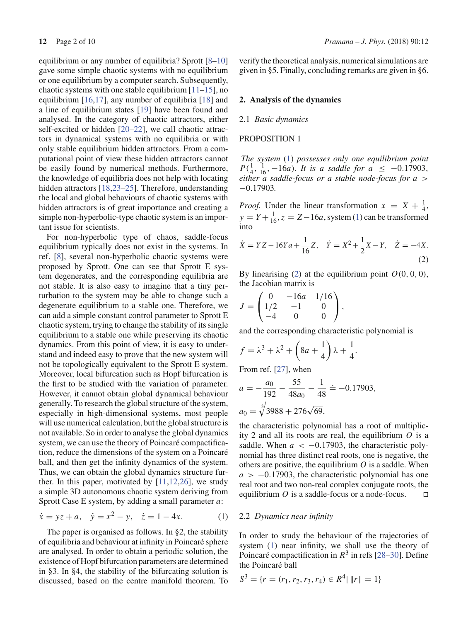equilibrium or any number of equilibria? Sprott [8–10] gave some simple chaotic systems with no equilibrium or one equilibrium by a computer search. Subsequently, chaotic systems with one stable equilibrium  $[11–15]$ , no equilibrium [16,17], any number of equilibria [18] and a line of equilibrium states [19] have been found and analysed. In the category of chaotic attractors, either self-excited or hidden [20–22], we call chaotic attractors in dynamical systems with no equilibria or with only stable equilibrium hidden attractors. From a computational point of view these hidden attractors cannot be easily found by numerical methods. Furthermore, the knowledge of equilibria does not help with locating hidden attractors [18,23–25]. Therefore, understanding the local and global behaviours of chaotic systems with hidden attractors is of great importance and creating a simple non-hyperbolic-type chaotic system is an important issue for scientists.

For non-hyperbolic type of chaos, saddle-focus equilibrium typically does not exist in the systems. In ref. [8], several non-hyperbolic chaotic systems were proposed by Sprott. One can see that Sprott E system degenerates, and the corresponding equilibria are not stable. It is also easy to imagine that a tiny perturbation to the system may be able to change such a degenerate equilibrium to a stable one. Therefore, we can add a simple constant control parameter to Sprott E chaotic system, trying to change the stability of its single equilibrium to a stable one while preserving its chaotic dynamics. From this point of view, it is easy to understand and indeed easy to prove that the new system will not be topologically equivalent to the Sprott E system. Moreover, local bifurcation such as Hopf bifurcation is the first to be studied with the variation of parameter. However, it cannot obtain global dynamical behaviour generally. To research the global structure of the system, especially in high-dimensional systems, most people will use numerical calculation, but the global structure is not available. So in order to analyse the global dynamics system, we can use the theory of Poincaré compactification, reduce the dimensions of the system on a Poincaré ball, and then get the infinity dynamics of the system. Thus, we can obtain the global dynamics structure further. In this paper, motivated by  $[11,12,26]$ , we study a simple 3D autonomous chaotic system deriving from Sprott Case E system, by adding a small parameter *a*:

$$
\dot{x} = yz + a, \quad \dot{y} = x^2 - y, \quad \dot{z} = 1 - 4x.
$$
 (1)

The paper is organised as follows. In §2, the stability of equilibria and behaviour at infinity in Poincaré sphere are analysed. In order to obtain a periodic solution, the existence of Hopf bifurcation parameters are determined in §3. In §4, the stability of the bifurcating solution is discussed, based on the centre manifold theorem. To verify the theoretical analysis, numerical simulations are given in §5. Finally, concluding remarks are given in §6.

## **2. Analysis of the dynamics**

#### 2.1 *Basic dynamics*

## PROPOSITION 1

*The system* (1) *possesses only one equilibrium point*  $P(\frac{1}{4}, \frac{1}{16}, -16a)$ *. It is a saddle for*  $a \leq -0.17903$ , *either a saddle-focus or a stable node-focus for a* > −0.17903*.*

*Proof.* Under the linear transformation  $x = X + \frac{1}{4}$ ,  $y = Y + \frac{1}{16}$ ,  $z = Z - 16a$ , system (1) can be transformed into

$$
\dot{X} = YZ - 16Ya + \frac{1}{16}Z, \quad \dot{Y} = X^2 + \frac{1}{2}X - Y, \quad \dot{Z} = -4X.
$$
\n(2)

By linearising (2) at the equilibrium point  $O(0, 0, 0)$ , the Jacobian matrix is

$$
J = \begin{pmatrix} 0 & -16a & 1/16 \\ 1/2 & -1 & 0 \\ -4 & 0 & 0 \end{pmatrix},
$$

and the corresponding characteristic polynomial is

$$
f = \lambda^3 + \lambda^2 + \left(8a + \frac{1}{4}\right)\lambda + \frac{1}{4}.
$$

From ref. [27], when

$$
a = -\frac{a_0}{192} - \frac{55}{48a_0} - \frac{1}{48} = -0.17903,
$$
  

$$
a_0 = \sqrt[3]{3988 + 276\sqrt{69}},
$$

the characteristic polynomial has a root of multiplicity 2 and all its roots are real, the equilibrium *O* is a saddle. When  $a < -0.17903$ , the characteristic polynomial has three distinct real roots, one is negative, the others are positive, the equilibrium *O* is a saddle. When  $a > -0.17903$ , the characteristic polynomial has one real root and two non-real complex conjugate roots, the equilibrium  $O$  is a saddle-focus or a node-focus.  $\square$ 

## 2.2 *Dynamics near infinity*

In order to study the behaviour of the trajectories of system (1) near infinity, we shall use the theory of Poincaré compactification in *R*<sup>3</sup> in refs [28–30]. Define the Poincaré ball

$$
S^3 = \{r = (r_1, r_2, r_3, r_4) \in R^4 \mid \|r\| = 1\}
$$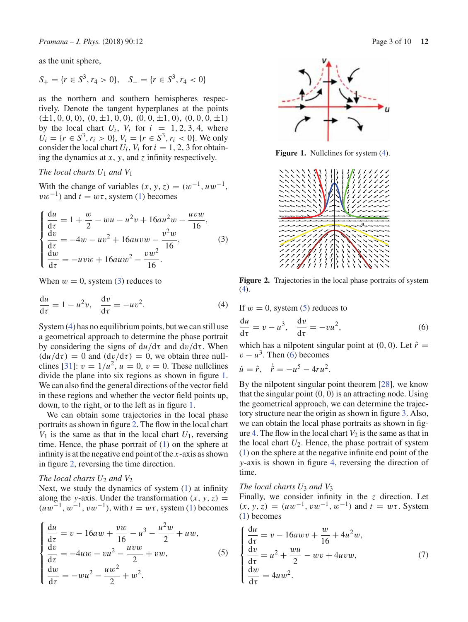as the unit sphere,

$$
S_+ = \{r \in S^3, r_4 > 0\}, \quad S_- = \{r \in S^3, r_4 < 0\}
$$

as the northern and southern hemispheres respectively. Denote the tangent hyperplanes at the points  $(\pm 1, 0, 0, 0), (0, \pm 1, 0, 0), (0, 0, \pm 1, 0), (0, 0, 0, \pm 1)$ by the local chart  $U_i$ ,  $V_i$  for  $i = 1, 2, 3, 4$ , where  $U_i = \{r \in S^3, r_i > 0\}, V_i = \{r \in S^3, r_i < 0\}.$  We only consider the local chart  $U_i$ ,  $V_i$  for  $i = 1, 2, 3$  for obtaining the dynamics at *x*, *y*, and *z* infinity respectively.

# *The local charts U*<sup>1</sup> *and V*<sup>1</sup>

With the change of variables  $(x, y, z) = (w^{-1}, uw^{-1},$  $vw^{-1}$ ) and  $t = w\tau$ , system (1) becomes

$$
\begin{cases}\n\frac{du}{d\tau} = 1 + \frac{w}{2} - wu - u^2v + 16au^2w - \frac{uvw}{16},\\
\frac{dv}{d\tau} = -4w - uv^2 + 16auv - \frac{v^2w}{16},\\
\frac{dw}{d\tau} = -uvw + 16au - \frac{vw^2}{16}.\n\end{cases}
$$
\n(3)

When  $w = 0$ , system (3) reduces to

$$
\frac{du}{d\tau} = 1 - u^2 v, \quad \frac{dv}{d\tau} = -uv^2.
$$
 (4)

System (4) has no equilibrium points, but we can still use a geometrical approach to determine the phase portrait by considering the signs of  $du/d\tau$  and  $dv/d\tau$ . When  $(du/d\tau) = 0$  and  $(dv/d\tau) = 0$ , we obtain three nullclines [31]:  $v = 1/u^2$ ,  $u = 0$ ,  $v = 0$ . These nullclines divide the plane into six regions as shown in figure 1. We can also find the general directions of the vector field in these regions and whether the vector field points up, down, to the right, or to the left as in figure 1.

We can obtain some trajectories in the local phase portraits as shown in figure 2. The flow in the local chart  $V_1$  is the same as that in the local chart  $U_1$ , reversing time. Hence, the phase portrait of (1) on the sphere at infinity is at the negative end point of the *x*-axis as shown in figure 2, reversing the time direction.

# *The local charts U*<sup>2</sup> *and V*<sup>2</sup>

Next, we study the dynamics of system (1) at infinity along the *y*-axis. Under the transformation  $(x, y, z)$  =  $(uw^{-1}, w^{-1}, vw^{-1})$ , with  $t = w\tau$ , system (1) becomes

$$
\begin{cases}\n\frac{du}{d\tau} = v - 16aw + \frac{vw}{16} - u^3 - \frac{u^2w}{2} + uw, \\
\frac{dv}{d\tau} = -4uw - vu^2 - \frac{uvw}{2} + vw, \\
\frac{dw}{d\tau} = -wu^2 - \frac{uw^2}{2} + w^2.\n\end{cases}
$$
\n(5)



**Figure 1.** Nullclines for system (4).



**Figure 2.** Trajectories in the local phase portraits of system  $(4)$ .

If  $w = 0$ , system (5) reduces to

$$
\frac{du}{d\tau} = v - u^3, \quad \frac{dv}{d\tau} = -vu^2,
$$
\n(6)

which has a nilpotent singular point at  $(0, 0)$ . Let  $\hat{r} =$  $v - u<sup>3</sup>$ . Then (6) becomes

$$
\dot{u} = \hat{r}, \quad \dot{\hat{r}} = -u^5 - 4ru^2.
$$

By the nilpotent singular point theorem [28], we know that the singular point  $(0, 0)$  is an attracting node. Using the geometrical approach, we can determine the trajectory structure near the origin as shown in figure 3. Also, we can obtain the local phase portraits as shown in figure 4. The flow in the local chart  $V_2$  is the same as that in the local chart  $U_2$ . Hence, the phase portrait of system (1) on the sphere at the negative infinite end point of the *y*-axis is shown in figure 4, reversing the direction of time.

## *The local charts U*<sup>3</sup> *and V*<sup>3</sup>

Finally, we consider infinity in the *z* direction. Let  $(x, y, z) = (uw^{-1}, vw^{-1}, w^{-1})$  and  $t = w\tau$ . System (1) becomes

$$
\begin{cases}\n\frac{du}{d\tau} = v - 16awv + \frac{w}{16} + 4u^2w, \\
\frac{dv}{d\tau} = u^2 + \frac{wu}{2} - wv + 4uvw, \\
\frac{dw}{d\tau} = 4uw^2.\n\end{cases}
$$
\n(7)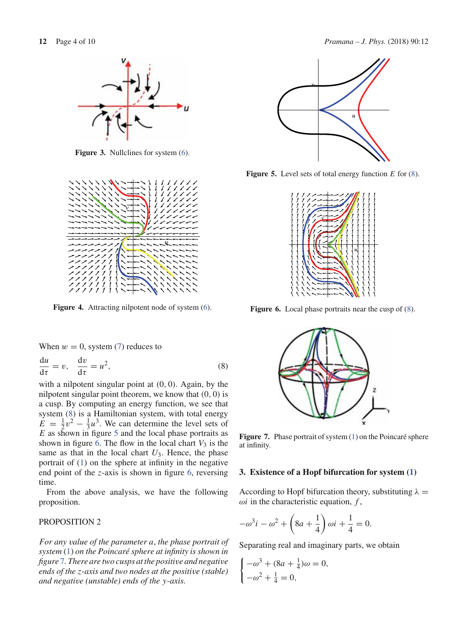

**Figure 3.** Nullclines for system (6).



Figure 4. Attracting nilpotent node of system  $(6)$ .

When  $w = 0$ , system (7) reduces to

$$
\frac{du}{d\tau} = v, \quad \frac{dv}{d\tau} = u^2,
$$
\n(8)

with a nilpotent singular point at  $(0, 0)$ . Again, by the nilpotent singular point theorem, we know that (0, 0) is a cusp. By computing an energy function, we see that system (8) is a Hamiltonian system, with total energy  $\vec{E} = \frac{1}{2}v^2 - \frac{1}{3}u^3$ . We can determine the level sets of *E* as shown in figure 5 and the local phase portraits as shown in figure 6. The flow in the local chart  $V_3$  is the same as that in the local chart  $U_3$ . Hence, the phase portrait of (1) on the sphere at infinity in the negative end point of the *z*-axis is shown in figure 6, reversing time.

From the above analysis, we have the following proposition.

# PROPOSITION 2

*For any value of the parameter a*, *the phase portrait of system* (1) *on the Poincaré sphere at infinity is shown in figure* 7*. There are two cusps at the positive and negative ends of the z-axis and two nodes at the positive (stable) and negative (unstable) ends of the y-axis.*





**Figure 5.** Level sets of total energy function *E* for (8).



**Figure 6.** Local phase portraits near the cusp of  $(8)$ .



Figure 7. Phase portrait of system (1) on the Poincaré sphere at infinity.

### **3. Existence of a Hopf bifurcation for system (1)**

According to Hopf bifurcation theory, substituting  $\lambda =$  $\omega i$  in the characteristic equation,  $f$ ,

$$
-\omega^3 i - \omega^2 + \left(8a + \frac{1}{4}\right)\omega i + \frac{1}{4} = 0.
$$

Separating real and imaginary parts, we obtain

$$
\begin{cases}\n-\omega^3 + (8a + \frac{1}{4})\omega = 0, \\
-\omega^2 + \frac{1}{4} = 0,\n\end{cases}
$$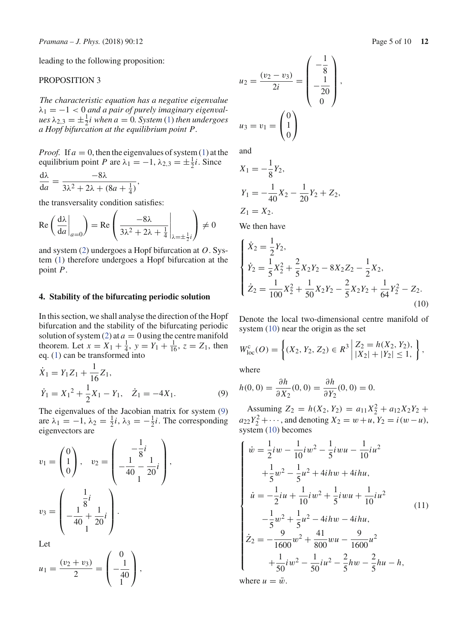leading to the following proposition:

# PROPOSITION 3

*The characteristic equation has a negative eigenvalue*  $\lambda_1 = -1 < 0$  *and a pair of purely imaginary eigenval* $ues \lambda_{2,3} = \pm \frac{1}{2}i$  when  $a = 0$ . System (1) then undergoes *a Hopf bifurcation at the equilibrium point P.*

*Proof.* If  $a = 0$ , then the eigenvalues of system (1) at the equilibrium point *P* are  $\lambda_1 = -1$ ,  $\lambda_{2,3} = \pm \frac{1}{2}i$ . Since

$$
\frac{\mathrm{d}\lambda}{\mathrm{d}a} = \frac{-8\lambda}{3\lambda^2 + 2\lambda + (8a + \frac{1}{4})},
$$

the transversality condition satisfies:

$$
\operatorname{Re}\left(\left.\frac{\mathrm{d}\lambda}{\mathrm{d}a}\right|_{a=0}\right) = \operatorname{Re}\left(\left.\frac{-8\lambda}{3\lambda^2 + 2\lambda + \frac{1}{4}}\right|_{\lambda=\pm\frac{1}{2}i}\right) \neq 0
$$

and system (2) undergoes a Hopf bifurcation at *O*. System (1) therefore undergoes a Hopf bifurcation at the point *P*.

# **4. Stability of the bifurcating periodic solution**

In this section, we shall analyse the direction of the Hopf bifurcation and the stability of the bifurcating periodic solution of system (2) at  $a = 0$  using the centre manifold theorem. Let  $x = X_1 + \frac{1}{4}$ ,  $y = Y_1 + \frac{1}{16}$ ,  $z = Z_1$ , then eq. (1) can be transformed into

$$
\dot{X}_1 = Y_1 Z_1 + \frac{1}{16} Z_1, \n\dot{Y}_1 = X_1^2 + \frac{1}{2} X_1 - Y_1, \quad \dot{Z}_1 = -4X_1.
$$
\n(9)

The eigenvalues of the Jacobian matrix for system (9) are  $\lambda_1 = -1$ ,  $\lambda_2 = \frac{1}{2}i$ ,  $\lambda_3 = -\frac{1}{2}i$ . The corresponding eigenvectors are

$$
v_1 = \begin{pmatrix} 0 \\ 1 \\ 0 \end{pmatrix}, \quad v_2 = \begin{pmatrix} -\frac{1}{8}i \\ -\frac{1}{40} - \frac{1}{20}i \\ 1 \end{pmatrix},
$$

$$
v_3 = \begin{pmatrix} \frac{1}{8}i \\ -\frac{1}{40} + \frac{1}{20}i \\ 1 \end{pmatrix}.
$$

Let

$$
u_1 = \frac{(v_2 + v_3)}{2} = \begin{pmatrix} 0 \\ -\frac{1}{40} \\ 1 \end{pmatrix},
$$

$$
u_2 = \frac{(v_2 - v_3)}{2i} = \begin{pmatrix} -\frac{1}{8} \\ -\frac{1}{20} \\ 0 \end{pmatrix},
$$
  

$$
u_3 = v_1 = \begin{pmatrix} 0 \\ 1 \\ 0 \end{pmatrix}
$$

and

$$
X_1 = -\frac{1}{8}Y_2,
$$
  
\n
$$
Y_1 = -\frac{1}{40}X_2 - \frac{1}{20}Y_2 + Z_2,
$$
  
\n
$$
Z_1 = X_2.
$$

We then have

$$
\begin{cases}\n\dot{X}_2 = \frac{1}{2}Y_2, \\
\dot{Y}_2 = \frac{1}{5}X_2^2 + \frac{2}{5}X_2Y_2 - 8X_2Z_2 - \frac{1}{2}X_2, \\
\dot{Z}_2 = \frac{1}{100}X_2^2 + \frac{1}{50}X_2Y_2 - \frac{2}{5}X_2Y_2 + \frac{1}{64}Y_2^2 - Z_2.\n\end{cases}
$$
\n(10)

Denote the local two-dimensional centre manifold of system (10) near the origin as the set

$$
W_{\text{loc}}^{c}(O) = \left\{ (X_2, Y_2, Z_2) \in R^3 \, \middle| \, \begin{aligned} Z_2 &= h(X_2, Y_2), \\ |X_2| + |Y_2| &\le 1, \end{aligned} \right\},
$$

where

$$
h(0, 0) = \frac{\partial h}{\partial X_2}(0, 0) = \frac{\partial h}{\partial Y_2}(0, 0) = 0.
$$

Assuming  $Z_2 = h(X_2, Y_2) = a_{11}X_2^2 + a_{12}X_2Y_2 +$  $a_{22}Y_2^2 + \cdots$ , and denoting  $X_2 = w + u$ ,  $Y_2 = i(w - u)$ , system (10) becomes

$$
\begin{cases}\n\dot{w} = \frac{1}{2}iw - \frac{1}{10}iw^2 - \frac{1}{5}iwu - \frac{1}{10}iu^2 \\
+ \frac{1}{5}w^2 - \frac{1}{5}u^2 + 4ihw + 4ihu, \\
\dot{u} = -\frac{1}{2}iu + \frac{1}{10}iw^2 + \frac{1}{5}iwu + \frac{1}{10}iu^2 \\
- \frac{1}{5}w^2 + \frac{1}{5}u^2 - 4ihw - 4ihu, \\
\dot{z}_2 = -\frac{9}{1600}w^2 + \frac{41}{800}wu - \frac{9}{1600}u^2 \\
+ \frac{1}{50}iw^2 - \frac{1}{50}iu^2 - \frac{2}{5}hw - \frac{2}{5}hu - h,\n\end{cases}
$$
\n(11)

where  $u = \bar{w}$ .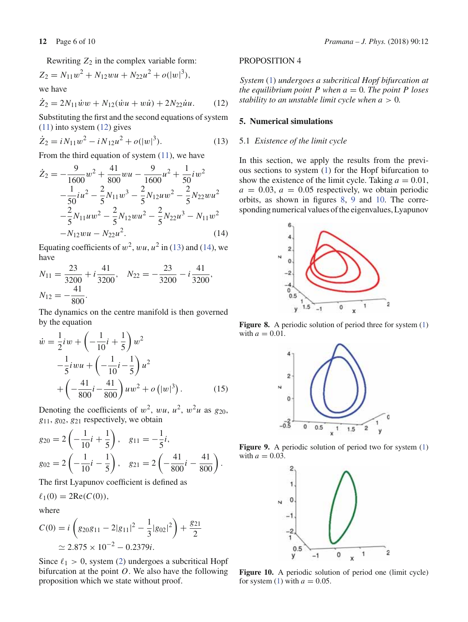Rewriting  $Z_2$  in the complex variable form:

$$
Z_2 = N_{11}w^2 + N_{12}wu + N_{22}u^2 + o(|w|^3),
$$
  
we have  

$$
\dot{Z}_2 = 2N_{11}\dot{w}w + N_{12}(\dot{w}u + w\dot{u}) + 2N_{22}\dot{u}u.
$$
 (12)

Substituting the first and the second equations of system (11) into system (12) gives

$$
\dot{Z}_2 = iN_{11}w^2 - iN_{12}u^2 + o(|w|^3). \tag{13}
$$

From the third equation of system (11), we have

$$
\dot{Z}_2 = -\frac{9}{1600}w^2 + \frac{41}{800}wu - \frac{9}{1600}u^2 + \frac{1}{50}iw^2 \n- \frac{1}{50}iu^2 - \frac{2}{5}N_{11}w^3 - \frac{2}{5}N_{12}uw^2 - \frac{2}{5}N_{22}wu^2 \n- \frac{2}{5}N_{11}uw^2 - \frac{2}{5}N_{12}wu^2 - \frac{2}{5}N_{22}u^3 - N_{11}w^2 \n- N_{12}wu - N_{22}u^2.
$$
\n(14)

Equating coefficients of  $w^2$ ,  $wu$ ,  $u^2$  in (13) and (14), we have

$$
N_{11} = \frac{23}{3200} + i \frac{41}{3200}, \quad N_{22} = -\frac{23}{3200} - i \frac{41}{3200},
$$
  

$$
N_{12} = -\frac{41}{800}.
$$

The dynamics on the centre manifold is then governed by the equation

$$
\dot{w} = \frac{1}{2} i w + \left( -\frac{1}{10} i + \frac{1}{5} \right) w^2
$$
  

$$
-\frac{1}{5} i w u + \left( -\frac{1}{10} i - \frac{1}{5} \right) u^2
$$
  

$$
+ \left( -\frac{41}{800} i - \frac{41}{800} \right) u w^2 + o \left( |w|^3 \right). \tag{15}
$$

Denoting the coefficients of  $w^2$ ,  $wu$ ,  $u^2$ ,  $w^2u$  as  $g_{20}$ , *g*11, *g*02, *g*<sup>21</sup> respectively, we obtain

$$
g_{20} = 2\left(-\frac{1}{10}i + \frac{1}{5}\right), \quad g_{11} = -\frac{1}{5}i,
$$
  

$$
g_{02} = 2\left(-\frac{1}{10}i - \frac{1}{5}\right), \quad g_{21} = 2\left(-\frac{41}{800}i - \frac{41}{800}\right).
$$

The first Lyapunov coefficient is defined as

$$
\ell_1(0) = 2\text{Re}(C(0)),
$$

where

$$
C(0) = i \left( g_{20} g_{11} - 2|g_{11}|^2 - \frac{1}{3}|g_{02}|^2 \right) + \frac{g_{21}}{2}
$$
  
\n
$$
\simeq 2.875 \times 10^{-2} - 0.2379i.
$$

Since  $\ell_1 > 0$ , system (2) undergoes a subcritical Hopf bifurcation at the point *O*. We also have the following proposition which we state without proof.

## PROPOSITION 4

*System* (1) *undergoes a subcritical Hopf bifurcation at the equilibrium point*  $P$  *when*  $a = 0$ *. The point*  $P$  *loses stability to an unstable limit cycle when a* > 0*.*

# **5. Numerical simulations**

# 5.1 *Existence of the limit cycle*

In this section, we apply the results from the previous sections to system (1) for the Hopf bifurcation to show the existence of the limit cycle. Taking  $a = 0.01$ ,  $a = 0.03$ ,  $a = 0.05$  respectively, we obtain periodic orbits, as shown in figures 8, 9 and 10. The corresponding numerical values of the eigenvalues, Lyapunov



**Figure 8.** A periodic solution of period three for system (1) with  $a = 0.01$ .



**Figure 9.** A periodic solution of period two for system (1) with  $a = 0.03$ .



Figure 10. A periodic solution of period one (limit cycle) for system (1) with  $a = 0.05$ .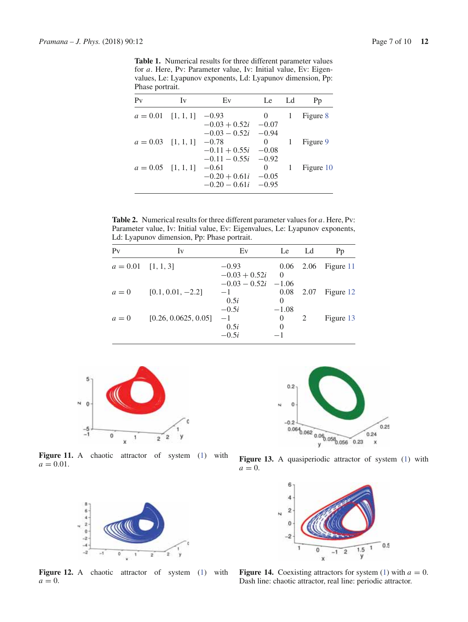**Table 1.** Numerical results for three different parameter values for *a*. Here, Pv: Parameter value, Iv: Initial value, Ev: Eigenvalues, Le: Lyapunov exponents, Ld: Lyapunov dimension, Pp: Phase portrait.

| $P_V$                        | Iv | Ev                    | Le             | Ld | Pp        |
|------------------------------|----|-----------------------|----------------|----|-----------|
| $a = 0.01$ [1, 1, 1] $-0.93$ |    |                       | $\overline{0}$ | -1 | Figure 8  |
|                              |    | $-0.03 + 0.52i$       | $-0.07$        |    |           |
|                              |    | $-0.03 - 0.52i -0.94$ |                |    |           |
| $a = 0.03$ [1, 1, 1] $-0.78$ |    |                       | 0              |    | Figure 9  |
|                              |    | $-0.11 + 0.55i$       | $-0.08$        |    |           |
|                              |    | $-0.11 - 0.55i -0.92$ |                |    |           |
| $a = 0.05$ [1, 1, 1]         |    | $-0.61$               | 0              |    | Figure 10 |
|                              |    | $-0.20 + 0.61i$       | $-0.05$        |    |           |
|                              |    | $-0.20 - 0.61i$       | $-0.95$        |    |           |

**Table 2.** Numerical results for three different parameter values for *a*. Here, Pv: Parameter value, Iv: Initial value, Ev: Eigenvalues, Le: Lyapunov exponents, Ld: Lyapunov dimension, Pp: Phase portrait.

| $P_V$                | Iv                   | Ev                              | Le                          | Ld          | Pp        |
|----------------------|----------------------|---------------------------------|-----------------------------|-------------|-----------|
| $a = 0.01$ [1, 1, 3] |                      | $-0.93$<br>$-0.03 + 0.52i$      | $\Omega$                    | $0.06$ 2.06 | Figure 11 |
| $a=0$                | $[0.1, 0.01, -2.2]$  | $-0.03 - 0.52i$<br>$-1$<br>0.5i | $-1.06$<br>0.08<br>$\theta$ | 2.07        | Figure 12 |
| $a=0$                | [0.26, 0.0625, 0.05] | $-0.5i$<br>$-1$<br>0.5i         | $-1.08$<br>0<br>0           | 2           | Figure 13 |
|                      |                      | $-0.5i$                         |                             |             |           |



Figure 11. A chaotic attractor of system (1) with  $a = 0.01$ .



Figure 12. A chaotic attractor of system (1) with  $a = 0$ .



Figure 13. A quasiperiodic attractor of system (1) with  $a = 0$ .



**Figure 14.** Coexisting attractors for system (1) with  $a = 0$ . Dash line: chaotic attractor, real line: periodic attractor.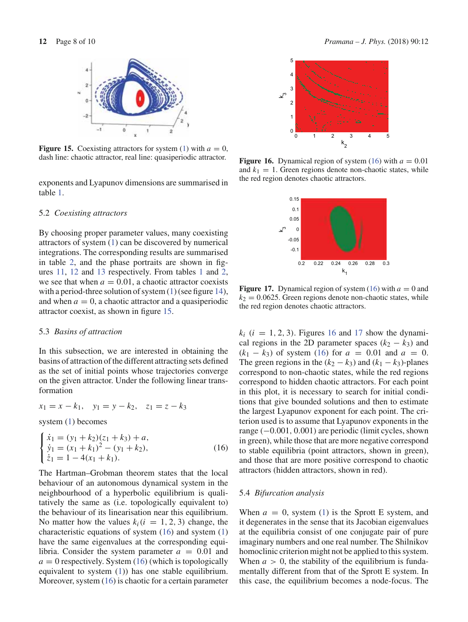

**Figure 15.** Coexisting attractors for system (1) with  $a = 0$ , dash line: chaotic attractor, real line: quasiperiodic attractor.

exponents and Lyapunov dimensions are summarised in table 1.

#### 5.2 *Coexisting attractors*

By choosing proper parameter values, many coexisting attractors of system (1) can be discovered by numerical integrations. The corresponding results are summarised in table 2, and the phase portraits are shown in figures 11, 12 and 13 respectively. From tables 1 and 2, we see that when  $a = 0.01$ , a chaotic attractor coexists with a period-three solution of system (1) (see figure 14), and when  $a = 0$ , a chaotic attractor and a quasiperiodic attractor coexist, as shown in figure 15.

#### 5.3 *Basins of attraction*

In this subsection, we are interested in obtaining the basins of attraction of the different attracting sets defined as the set of initial points whose trajectories converge on the given attractor. Under the following linear transformation

$$
x_1 = x - k_1, \quad y_1 = y - k_2, \quad z_1 = z - k_3
$$

system (1) becomes

$$
\begin{cases}\n\dot{x}_1 = (y_1 + k_2)(z_1 + k_3) + a, \\
\dot{y}_1 = (x_1 + k_1)^2 - (y_1 + k_2), \\
\dot{z}_1 = 1 - 4(x_1 + k_1).\n\end{cases}
$$
\n(16)

The Hartman–Grobman theorem states that the local behaviour of an autonomous dynamical system in the neighbourhood of a hyperbolic equilibrium is qualitatively the same as (i.e. topologically equivalent to) the behaviour of its linearisation near this equilibrium. No matter how the values  $k_i$  ( $i = 1, 2, 3$ ) change, the characteristic equations of system  $(16)$  and system  $(1)$ have the same eigenvalues at the corresponding equilibria. Consider the system parameter  $a = 0.01$  and  $a = 0$  respectively. System  $(16)$  (which is topologically equivalent to system (1)) has one stable equilibrium. Moreover, system (16) is chaotic for a certain parameter



**Figure 16.** Dynamical region of system (16) with  $a = 0.01$ and  $k_1 = 1$ . Green regions denote non-chaotic states, while the red region denotes chaotic attractors.



**Figure 17.** Dynamical region of system (16) with  $a = 0$  and  $k_2 = 0.0625$ . Green regions denote non-chaotic states, while the red region denotes chaotic attractors.

 $k_i$  ( $i = 1, 2, 3$ ). Figures 16 and 17 show the dynamical regions in the 2D parameter spaces  $(k_2 - k_3)$  and  $(k_1 - k_3)$  of system (16) for  $a = 0.01$  and  $a = 0$ . The green regions in the  $(k_2 - k_3)$  and  $(k_1 - k_3)$ -planes correspond to non-chaotic states, while the red regions correspond to hidden chaotic attractors. For each point in this plot, it is necessary to search for initial conditions that give bounded solutions and then to estimate the largest Lyapunov exponent for each point. The criterion used is to assume that Lyapunov exponents in the range (−0.001, 0.001) are periodic (limit cycles, shown in green), while those that are more negative correspond to stable equilibria (point attractors, shown in green), and those that are more positive correspond to chaotic attractors (hidden attractors, shown in red).

#### 5.4 *Bifurcation analysis*

When  $a = 0$ , system (1) is the Sprott E system, and it degenerates in the sense that its Jacobian eigenvalues at the equilibria consist of one conjugate pair of pure imaginary numbers and one real number. The Shilnikov homoclinic criterion might not be applied to this system. When  $a > 0$ , the stability of the equilibrium is fundamentally different from that of the Sprott E system. In this case, the equilibrium becomes a node-focus. The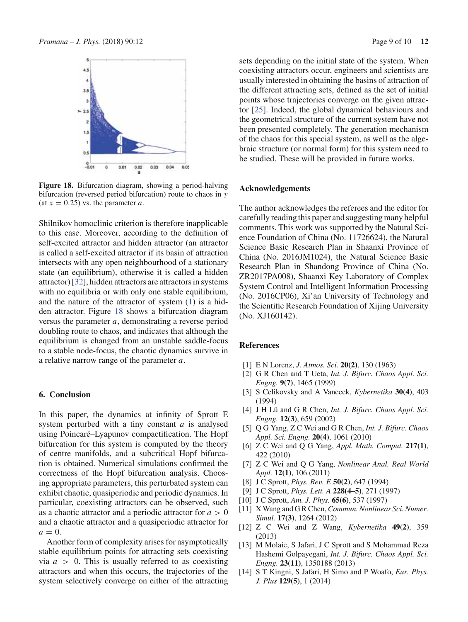

**Figure 18.** Bifurcation diagram, showing a period-halving bifurcation (reversed period bifurcation) route to chaos in *y*  $(\text{at } x = 0.25)$  vs. the parameter *a*.

Shilnikov homoclinic criterion is therefore inapplicable to this case. Moreover, according to the definition of self-excited attractor and hidden attractor (an attractor is called a self-excited attractor if its basin of attraction intersects with any open neighbourhood of a stationary state (an equilibrium), otherwise it is called a hidden attractor) [32], hidden attractors are attractors in systems with no equilibria or with only one stable equilibrium, and the nature of the attractor of system (1) is a hidden attractor. Figure 18 shows a bifurcation diagram versus the parameter *a*, demonstrating a reverse period doubling route to chaos, and indicates that although the equilibrium is changed from an unstable saddle-focus to a stable node-focus, the chaotic dynamics survive in a relative narrow range of the parameter *a*.

# **6. Conclusion**

In this paper, the dynamics at infinity of Sprott E system perturbed with a tiny constant *a* is analysed using Poincaré–Lyapunov compactification. The Hopf bifurcation for this system is computed by the theory of centre manifolds, and a subcritical Hopf bifurcation is obtained. Numerical simulations confirmed the correctness of the Hopf bifurcation analysis. Choosing appropriate parameters, this perturbated system can exhibit chaotic, quasiperiodic and periodic dynamics. In particular, coexisting attractors can be observed, such as a chaotic attractor and a periodic attractor for  $a > 0$ and a chaotic attractor and a quasiperiodic attractor for  $a=0$ .

Another form of complexity arises for asymptotically stable equilibrium points for attracting sets coexisting via  $a > 0$ . This is usually referred to as coexisting attractors and when this occurs, the trajectories of the system selectively converge on either of the attracting sets depending on the initial state of the system. When coexisting attractors occur, engineers and scientists are usually interested in obtaining the basins of attraction of the different attracting sets, defined as the set of initial points whose trajectories converge on the given attractor [25]. Indeed, the global dynamical behaviours and the geometrical structure of the current system have not been presented completely. The generation mechanism of the chaos for this special system, as well as the algebraic structure (or normal form) for this system need to be studied. These will be provided in future works.

# **Acknowledgements**

The author acknowledges the referees and the editor for carefully reading this paper and suggesting many helpful comments. This work was supported by the Natural Science Foundation of China (No. 11726624), the Natural Science Basic Research Plan in Shaanxi Province of China (No. 2016JM1024), the Natural Science Basic Research Plan in Shandong Province of China (No. ZR2017PA008), Shaanxi Key Laboratory of Complex System Control and Intelligent Information Processing (No. 2016CP06), Xi'an University of Technology and the Scientific Research Foundation of Xijing University (No. XJ160142).

#### **References**

- [1] E N Lorenz, *J. Atmos. Sci.* **20(2)**, 130 (1963)
- [2] G R Chen and T Ueta, *Int. J. Bifurc. Chaos Appl. Sci. Engng.* **9(7)**, 1465 (1999)
- [3] S Celikovsky and A Vanecek, *Kybernetika* **30(4)**, 403 (1994)
- [4] J H Lü and G R Chen, *Int. J. Bifurc. Chaos Appl. Sci. Engng.* **12(3)**, 659 (2002)
- [5] Q G Yang, Z C Wei and G R Chen, *Int. J. Bifurc. Chaos Appl. Sci. Engng.* **20(4)**, 1061 (2010)
- [6] Z C Wei and Q G Yang, *Appl. Math. Comput.* **217(1)**, 422 (2010)
- [7] Z C Wei and Q G Yang, *Nonlinear Anal. Real World Appl.* **12(1)**, 106 (2011)
- [8] J C Sprott, *Phys. Rev. E* **50(2)**, 647 (1994)
- [9] J C Sprott, *Phys. Lett. A* **228(4–5)**, 271 (1997)
- [10] J C Sprott, *Am. J. Phys.* **65(6)**, 537 (1997)
- [11] X Wang and G R Chen,*Commun. Nonlinear Sci. Numer. Simul.* **17(3)**, 1264 (2012)
- [12] Z C Wei and Z Wang, *Kybernetika* **49(2)**, 359 (2013)
- [13] M Molaie, S Jafari, J C Sprott and S Mohammad Reza Hashemi Golpayegani, *Int. J. Bifurc. Chaos Appl. Sci. Engng.* **23(11)**, 1350188 (2013)
- [14] S T Kingni, S Jafari, H Simo and P Woafo, *Eur. Phys. J. Plus* **129(5)**, 1 (2014)